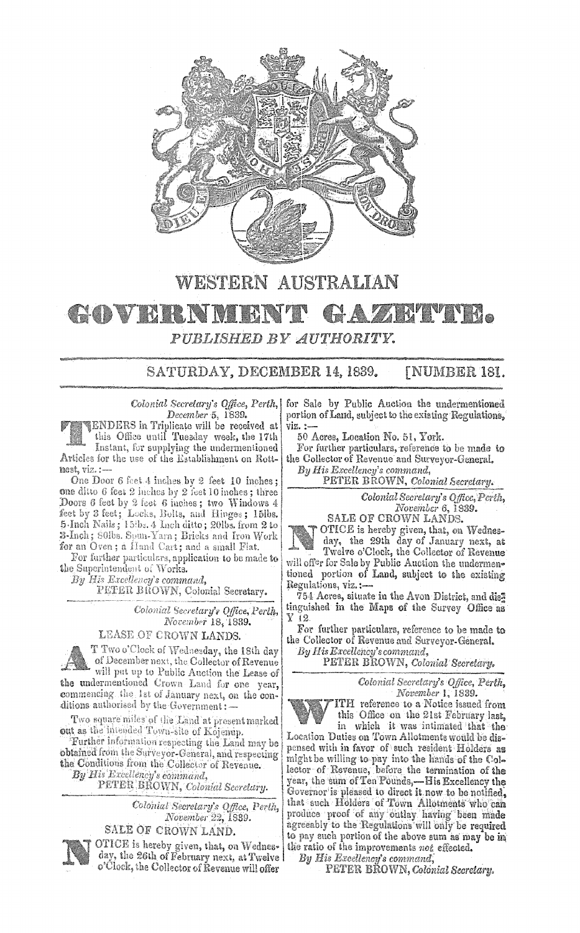

# **WESTERN AUSTRALIAN** COVERNE **AZRTVNA** PUBLISHED BY AUTHORITY.

SATURDAY, DECEMBER 14, 1839. [NUMBER 181.

Colonial Secretary's Office, Perth, December 5, 1839.

ENDERS in Triplicate will be received at this Office until Tuesday week, the 17th Instant, for supplying the undermentioned Articles for the use of the Establishment on Rottnest, viz.:

One Door 6 feet 4 inches by 2 feet 10 inches; one ditto 6 feet 2 inches by 2 feet 10 inches; three Doors 6 feet by 2 feet 6 inches; two Windows 4 feet by 3 feet; Locks, Bolts, and Hinges; 15lbs. 5-Inch Nails; 15tbs. 4 Inch ditto; 20lbs. from 2 to 3-Inch; SOlbs. Spun-Yarn; Bricks and Iron Work for an Oven; a Hand Cart; and a small Flat.

For further particulars, application to be made to the Superintendent of Works.

By His Excellency's command,

PETER BROWN, Colonial Secretary.

Colonial Secretary's Office, Perth, November 18, 1839.

LEASE OF CROWN LANDS.

T Two o'Clock of Wednesday, the 18th day of December next, the Collector of Revenue will put up to Public Auction the Lease of

the undermentioned Crown Land for one year, commencing the 1st of January next, on the conditions authorised by the Government: -

Two square miles of the Land at present marked out as the intended Town-site of Kojenup.

Further information respecting the Land may be obtained from the Surveyor-General, and respecting the Conditions from the Collector of Revenue. By His Excellency's command,

PETER BROWN, Colonial Secretary.

Colonial Secretary's Office, Perth,<br>November 22, 1889. SALE OF CROWN LAND.



OTICE is hereby given, that, on Wednesday, the 26th of February next, at Twelve o'Clock, the Collector of Revenue will offer

for Sale by Public Auction the undermentioned portion of Land, subject to the existing Regulations, viz. :

50 Acres, Location No. 51, York.

For further particulars, reference to be made to the Collector of Revenue and Surveyor-General.

By His Excellency's command, PETER BROWN, Colonial Secretary.

Colonial Secretary's Office, Perth, November 6, 1839.



OTICE is hereby given, that, on Wednes-<br>day, the 29th day of January next, at<br>Twelve o'Clock, the Collector of Revenue will offer for Sale by Public Auction the undermentioned portion of Land, subject to the existing Regulations, viz.:-

754 Acres, situate in the Avon District, and dis<sup>3</sup> tinguished in the Maps of the Survey Office as Y 12.

For further particulars, reference to be made to the Collector of Revenue and Surveyor-General.

By His Excellency's command,

PETER BROWN, Colonial Secretary.

Colonial Secretary's Office, Perth, November 1, 1839.

ITH reference to a Notice issued from this Office on the 21st February last. in which it was intimated that the

Location Duties on Town Allotments would be dispensed with in favor of such resident Holders as might be willing to pay into the hands of the Collector of Revenue, before the termination of the year, the sum of Ten Pounds,—His Excellency the Governor is pleased to direct it now to be notified. that such Holders of Town Allotments who can<br>produce proof of any outlay having been made<br>agreeably to the Regulations will only be required to pay such portion of the above sum as may be in the ratio of the improvements not effected.

By His Excellency's command,

PETER BROWN, Colonial Secretary.